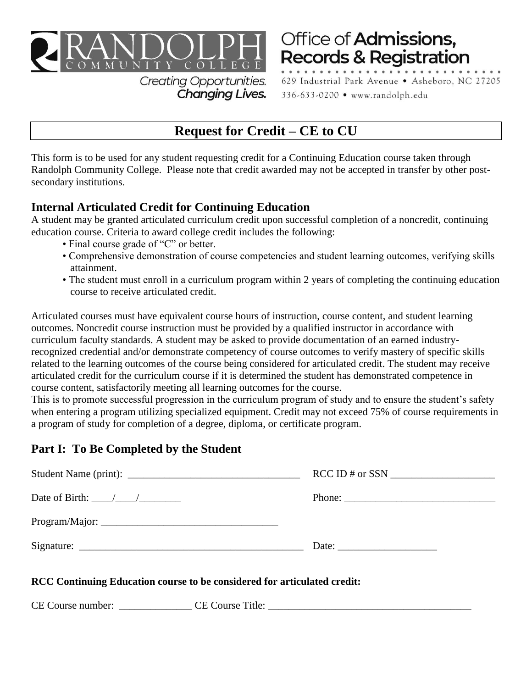

Office of **Admissions, Records & Registration** 

629 Industrial Park Avenue . Asheboro, NC 27205 336-633-0200 • www.randolph.edu

# **Request for Credit – CE to CU**

This form is to be used for any student requesting credit for a Continuing Education course taken through Randolph Community College. Please note that credit awarded may not be accepted in transfer by other postsecondary institutions.

### **Internal Articulated Credit for Continuing Education**

**Creating Opportunities.** 

**Changing Lives.** 

A student may be granted articulated curriculum credit upon successful completion of a noncredit, continuing education course. Criteria to award college credit includes the following:

- Final course grade of "C" or better.
- Comprehensive demonstration of course competencies and student learning outcomes, verifying skills attainment.
- The student must enroll in a curriculum program within 2 years of completing the continuing education course to receive articulated credit.

Articulated courses must have equivalent course hours of instruction, course content, and student learning outcomes. Noncredit course instruction must be provided by a qualified instructor in accordance with curriculum faculty standards. A student may be asked to provide documentation of an earned industryrecognized credential and/or demonstrate competency of course outcomes to verify mastery of specific skills related to the learning outcomes of the course being considered for articulated credit. The student may receive articulated credit for the curriculum course if it is determined the student has demonstrated competence in course content, satisfactorily meeting all learning outcomes for the course.

This is to promote successful progression in the curriculum program of study and to ensure the student's safety when entering a program utilizing specialized equipment. Credit may not exceed 75% of course requirements in a program of study for completion of a degree, diploma, or certificate program.

# **Part I: To Be Completed by the Student**

| $\text{RCC ID}$ # or SSN $\_\_\_\_\_\_\_\_\_\_\_\_\_\_\_\_\_\_\_\_\_\_\_\_\_\_\_\_\_\_\_$ |
|-------------------------------------------------------------------------------------------|
|                                                                                           |
|                                                                                           |
| Date: $\frac{1}{\sqrt{1-\frac{1}{2}} \cdot \frac{1}{2}}$                                  |
|                                                                                           |

#### **RCC Continuing Education course to be considered for articulated credit:**

CE Course number: \_\_\_\_\_\_\_\_\_\_\_\_\_\_\_\_ CE Course Title: \_\_\_\_\_\_\_\_\_\_\_\_\_\_\_\_\_\_\_\_\_\_\_\_\_\_\_\_